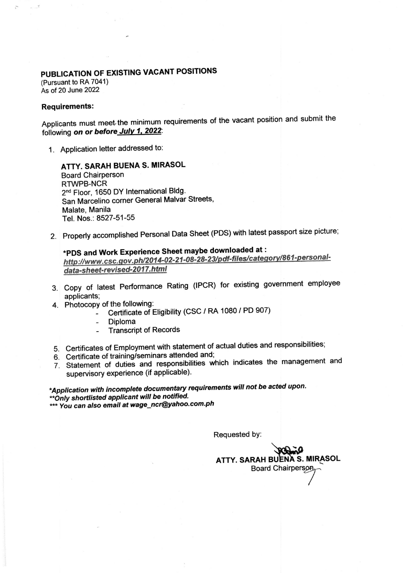## PUBLICATION OF EXISTING VACANT POSITIONS

(Pursuant to RA 7041) As of 20 June 2022

## Requirements:

Applicants must meet the minimum requirements of the vacant position and submit the following on or before July 1, 2022:

1. Application letter addressed to:

ATTY. SARAH BUENA S. MIRASOL **Board Chairperson** RTWPB-NCR 2<sup>nd</sup> Floor, 1650 DY International Bldg. San Marcelino corner General Malvar Streets, Malate, Manila Tel. Nos.: 8527-51-55

2. Properly accomplished Personal Data sheet (PDS) with latest passport size picture;

## \*PDS and Work Experience Sheet maybe downloaded at: PDS and work Experience oncer may be abunded to the crisis of the state of the state of the state of the state of the state of the state of 2017 html<br>http://www.csc.gov.ph/2014-02-21-08-28-23/pdf-files/category/861-persona data-sheet-revised-2017.html

- 3. Copy of latest Performance Rating (lPcR) for existing govemment employee applicants;
- 4. Photocopy of the following:
	- Certificate of Eligibility (CSC / RA 1080 / PD 907)
	- Diploma
	- Transcript of Records
- 5. certificates of Employment with statement of actual duties and responsibilities;
- 6. Gertificate of training/seminars attended and;
- 7. statement of duties and responsibilities which indicates the management and supervisory experience (if applicable).

\*Application with incomplete documentary requirements will not be acted upon.<br>\*\*Only shortlisted applicant will be notified. \*\*\* You can also email at wage\_ncr@yahoo.com.ph

Requested bY:

ATTY. SARAH BUENA S. MIRASOL **Board Chairpersor** /